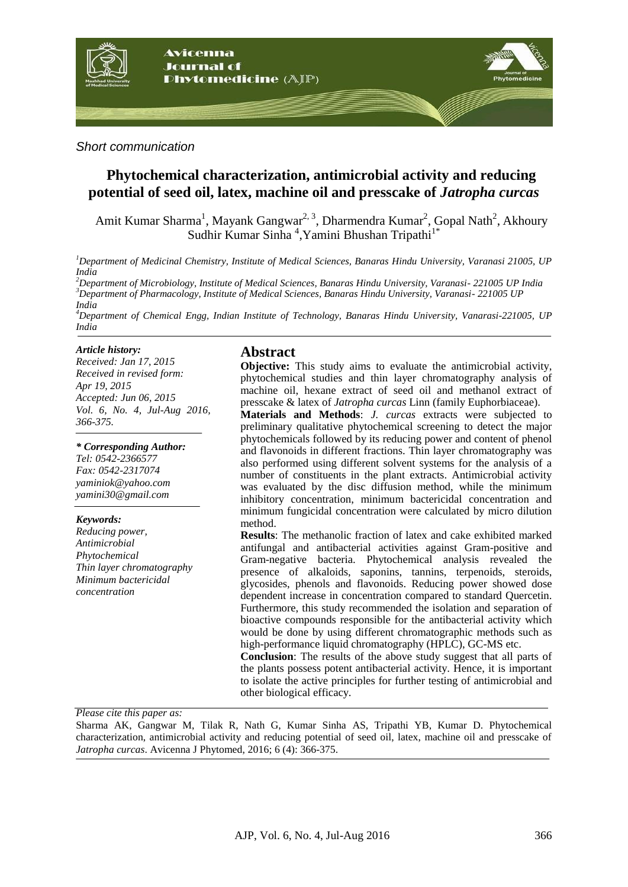

#### *Short communication*

# **Phytochemical characterization, antimicrobial activity and reducing potential of seed oil, latex, machine oil and presscake of** *Jatropha curcas*

Amit Kumar Sharma<sup>1</sup>, Mayank Gangwar<sup>2, 3</sup>, Dharmendra Kumar<sup>2</sup>, Gopal Nath<sup>2</sup>, Akhoury Sudhir Kumar Sinha<sup>4</sup>, Yamini Bhushan Tripathi<sup>1\*</sup>

*<sup>1</sup>Department of Medicinal Chemistry, Institute of Medical Sciences, Banaras Hindu University, Varanasi 21005, UP India*

*<sup>2</sup>Department of Microbiology, Institute of Medical Sciences, Banaras Hindu University, Varanasi- 221005 UP India <sup>3</sup>Department of Pharmacology, Institute of Medical Sciences, Banaras Hindu University, Varanasi- 221005 UP India*

*<sup>4</sup>Department of Chemical Engg, Indian Institute of Technology, Banaras Hindu University, Vanarasi-221005, UP India*

#### *Article history:*

*Received: Jan 17, 2015 Received in revised form: Apr 19, 2015 Accepted: Jun 06, 2015 Vol. 6, No. 4, Jul-Aug 2016, 366-375.*

*\* Corresponding Author: Tel: 0542-2366577 Fax: 0542-2317074 [yaminiok@yahoo.com](mailto:yaminiok@yahoo.com) yamini30@gmail.com* 

#### *Keywords:*

*Reducing power, Antimicrobial Phytochemical Thin layer chromatography Minimum bactericidal concentration*

#### **Abstract**

**Objective:** This study aims to evaluate the antimicrobial activity, phytochemical studies and thin layer chromatography analysis of machine oil, hexane extract of seed oil and methanol extract of presscake & latex of *Jatropha curcas* Linn (family Euphorbiaceae).

**Materials and Methods**: *J. curcas* extracts were subjected to preliminary qualitative phytochemical screening to detect the major phytochemicals followed by its reducing power and content of phenol and flavonoids in different fractions. Thin layer chromatography was also performed using different solvent systems for the analysis of a number of constituents in the plant extracts. Antimicrobial activity was evaluated by the disc diffusion method, while the minimum inhibitory concentration, minimum bactericidal concentration and minimum fungicidal concentration were calculated by micro dilution method.

**Results**: The methanolic fraction of latex and cake exhibited marked antifungal and antibacterial activities against Gram-positive and Gram-negative bacteria. Phytochemical analysis revealed the presence of alkaloids, saponins, tannins, terpenoids, steroids, glycosides, phenols and flavonoids. Reducing power showed dose dependent increase in concentration compared to standard Quercetin. Furthermore, this study recommended the isolation and separation of bioactive compounds responsible for the antibacterial activity which would be done by using different chromatographic methods such as high-performance liquid chromatography (HPLC), GC-MS etc.

**Conclusion**: The results of the above study suggest that all parts of the plants possess potent antibacterial activity. Hence, it is important to isolate the active principles for further testing of antimicrobial and other biological efficacy.

*Please cite this paper as:* 

Sharma AK, Gangwar M, Tilak R, Nath G, Kumar Sinha AS, Tripathi YB, Kumar D. Phytochemical characterization, antimicrobial activity and reducing potential of seed oil, latex, machine oil and presscake of *Jatropha curcas*. Avicenna J Phytomed, 2016; 6 (4): 366-375.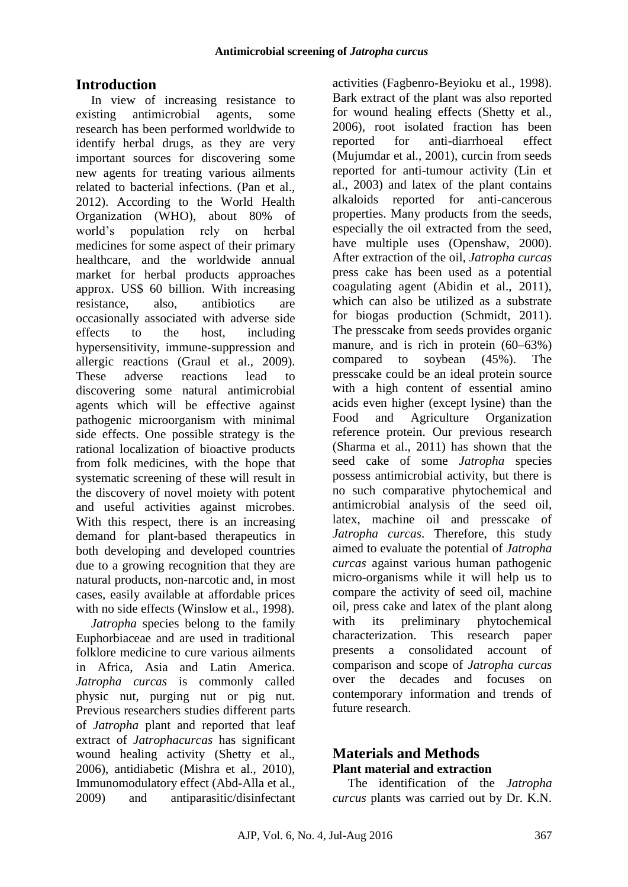# **Introduction**

In view of increasing resistance to existing antimicrobial agents, some research has been performed worldwide to identify herbal drugs, as they are very important sources for discovering some new agents for treating various ailments related to bacterial infections. (Pan et al., 2012). According to the World Health Organization (WHO), about 80% of world's population rely on herbal medicines for some aspect of their primary healthcare, and the worldwide annual market for herbal products approaches approx. US\$ 60 billion. With increasing resistance, also, antibiotics are occasionally associated with adverse side effects to the host, including hypersensitivity, immune-suppression and allergic reactions (Graul et al., 2009). These adverse reactions lead to discovering some natural antimicrobial agents which will be effective against pathogenic microorganism with minimal side effects. One possible strategy is the rational localization of bioactive products from folk medicines, with the hope that systematic screening of these will result in the discovery of novel moiety with potent and useful activities against microbes. With this respect, there is an increasing demand for plant-based therapeutics in both developing and developed countries due to a growing recognition that they are natural products, non-narcotic and, in most cases, easily available at affordable prices with no side effects (Winslow et al., 1998).

*Jatropha* species belong to the family Euphorbiaceae and are used in traditional folklore medicine to cure various ailments in Africa, Asia and Latin America. *Jatropha curcas* is commonly called physic nut, purging nut or pig nut. Previous researchers studies different parts of *Jatropha* plant and reported that leaf extract of *Jatrophacurcas* has significant wound healing activity (Shetty et al., 2006), antidiabetic (Mishra et al., 2010), Immunomodulatory effect (Abd-Alla et al., 2009) and antiparasitic/disinfectant

activities (Fagbenro-Beyioku et al., 1998). Bark extract of the plant was also reported for wound healing effects (Shetty et al., 2006), root isolated fraction has been reported for anti-diarrhoeal effect (Mujumdar et al., 2001), curcin from seeds reported for anti-tumour activity (Lin et al., 2003) and latex of the plant contains alkaloids reported for anti-cancerous properties. Many products from the seeds, especially the oil extracted from the seed, have multiple uses (Openshaw, 2000). After extraction of the oil, *Jatropha curcas* press cake has been used as a potential coagulating agent (Abidin et al., 2011), which can also be utilized as a substrate for biogas production (Schmidt, 2011). The presscake from seeds provides organic manure, and is rich in protein  $(60-63%)$ compared to soybean (45%). The presscake could be an ideal protein source with a high content of essential amino acids even higher (except lysine) than the Food and Agriculture Organization reference protein. Our previous research (Sharma et al., 2011) has shown that the seed cake of some *Jatropha* species possess antimicrobial activity, but there is no such comparative phytochemical and antimicrobial analysis of the seed oil, latex, machine oil and presscake of *Jatropha curcas*. Therefore, this study aimed to evaluate the potential of *Jatropha curcas* against various human pathogenic micro-organisms while it will help us to compare the activity of seed oil, machine oil, press cake and latex of the plant along with its preliminary phytochemical characterization. This research paper presents a consolidated account of comparison and scope of *Jatropha curcas* over the decades and focuses on contemporary information and trends of future research.

# **Materials and Methods Plant material and extraction**

The identification of the *Jatropha curcus* plants was carried out by Dr. K.N.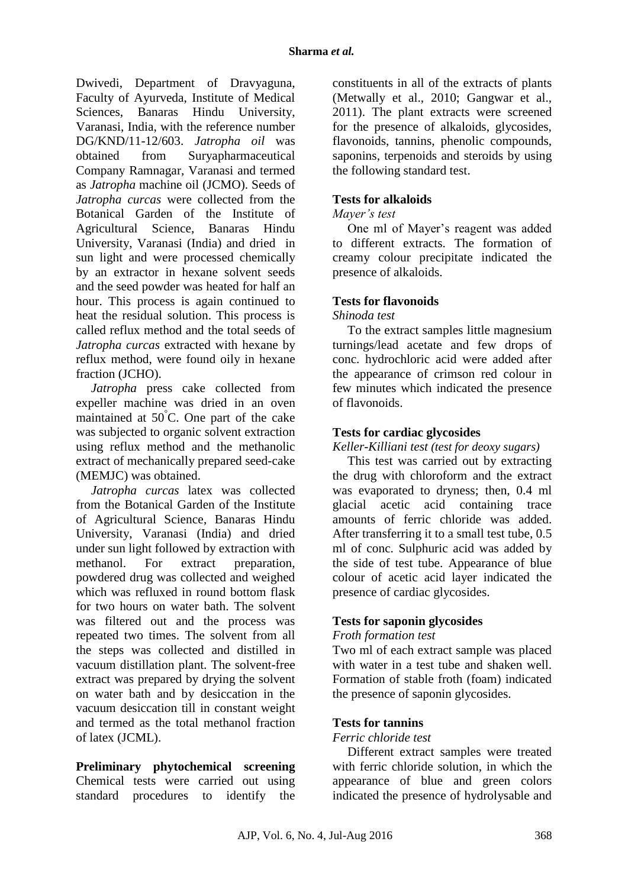Dwivedi, Department of Dravyaguna, Faculty of Ayurveda, Institute of Medical Sciences, Banaras Hindu University, Varanasi, India, with the reference number DG/KND/11-12/603. *Jatropha oil* was obtained from Suryapharmaceutical Company Ramnagar, Varanasi and termed as *Jatropha* machine oil (JCMO). Seeds of *Jatropha curcas* were collected from the Botanical Garden of the Institute of Agricultural Science, Banaras Hindu University, Varanasi (India) and dried in sun light and were processed chemically by an extractor in hexane solvent seeds and the seed powder was heated for half an hour. This process is again continued to heat the residual solution. This process is called reflux method and the total seeds of *Jatropha curcas* extracted with hexane by reflux method, were found oily in hexane fraction (JCHO).

*Jatropha* press cake collected from expeller machine was dried in an oven maintained at 50°C. One part of the cake was subjected to organic solvent extraction using reflux method and the methanolic extract of mechanically prepared seed-cake (MEMJC) was obtained.

*Jatropha curcas* latex was collected from the Botanical Garden of the Institute of Agricultural Science, Banaras Hindu University, Varanasi (India) and dried under sun light followed by extraction with methanol. For extract preparation, powdered drug was collected and weighed which was refluxed in round bottom flask for two hours on water bath. The solvent was filtered out and the process was repeated two times. The solvent from all the steps was collected and distilled in vacuum distillation plant. The solvent-free extract was prepared by drying the solvent on water bath and by desiccation in the vacuum desiccation till in constant weight and termed as the total methanol fraction of latex (JCML).

**Preliminary phytochemical screening**  Chemical tests were carried out using standard procedures to identify the constituents in all of the extracts of plants (Metwally et al., 2010; Gangwar et al., 2011). The plant extracts were screened for the presence of alkaloids, glycosides, flavonoids, tannins, phenolic compounds, saponins, terpenoids and steroids by using the following standard test.

### **Tests for alkaloids**

#### *Mayer's test*

One ml of Mayer's reagent was added to different extracts. The formation of creamy colour precipitate indicated the presence of alkaloids.

### **Tests for flavonoids**

#### *Shinoda test*

To the extract samples little magnesium turnings/lead acetate and few drops of conc. hydrochloric acid were added after the appearance of crimson red colour in few minutes which indicated the presence of flavonoids.

#### **Tests for cardiac glycosides**

*Keller-Killiani test (test for deoxy sugars)*

This test was carried out by extracting the drug with chloroform and the extract was evaporated to dryness; then, 0.4 ml glacial acetic acid containing trace amounts of ferric chloride was added. After transferring it to a small test tube, 0.5 ml of conc. Sulphuric acid was added by the side of test tube. Appearance of blue colour of acetic acid layer indicated the presence of cardiac glycosides.

#### **Tests for saponin glycosides**

#### *Froth formation test*

Two ml of each extract sample was placed with water in a test tube and shaken well. Formation of stable froth (foam) indicated the presence of saponin glycosides.

#### **Tests for tannins**

#### *Ferric chloride test*

Different extract samples were treated with ferric chloride solution, in which the appearance of blue and green colors indicated the presence of hydrolysable and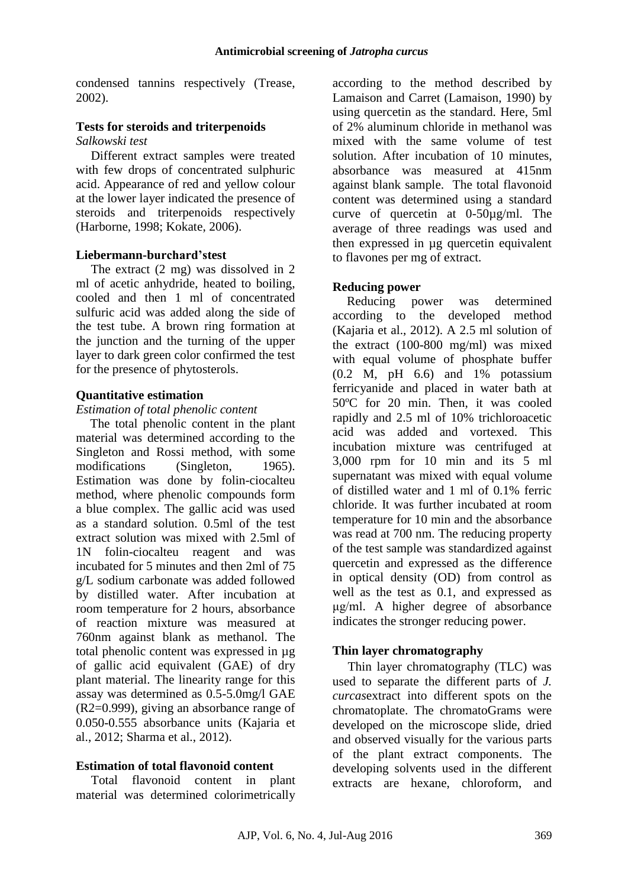condensed tannins respectively (Trease, 2002).

# **Tests for steroids and triterpenoids**

#### *Salkowski test*

Different extract samples were treated with few drops of concentrated sulphuric acid. Appearance of red and yellow colour at the lower layer indicated the presence of steroids and triterpenoids respectively (Harborne, 1998; Kokate, 2006).

### **Liebermann-burchard'stest**

The extract (2 mg) was dissolved in 2 ml of acetic anhydride, heated to boiling, cooled and then 1 ml of concentrated sulfuric acid was added along the side of the test tube. A brown ring formation at the junction and the turning of the upper layer to dark green color confirmed the test for the presence of phytosterols.

### **Quantitative estimation**

#### *Estimation of total phenolic content*

The total phenolic content in the plant material was determined according to the Singleton and Rossi method, with some modifications (Singleton, 1965). Estimation was done by folin-ciocalteu method, where phenolic compounds form a blue complex. The gallic acid was used as a standard solution. 0.5ml of the test extract solution was mixed with 2.5ml of 1N folin-ciocalteu reagent and was incubated for 5 minutes and then 2ml of 75 g/L sodium carbonate was added followed by distilled water. After incubation at room temperature for 2 hours, absorbance of reaction mixture was measured at 760nm against blank as methanol. The total phenolic content was expressed in µg of gallic acid equivalent (GAE) of dry plant material. The linearity range for this assay was determined as 0.5-5.0mg/l GAE (R2=0.999), giving an absorbance range of 0.050-0.555 absorbance units (Kajaria et al., 2012; Sharma et al., 2012).

# **Estimation of total flavonoid content**

Total flavonoid content in plant material was determined colorimetrically according to the method described by Lamaison and Carret (Lamaison, 1990) by using quercetin as the standard. Here, 5ml of 2% aluminum chloride in methanol was mixed with the same volume of test solution. After incubation of 10 minutes, absorbance was measured at 415nm against blank sample. The total flavonoid content was determined using a standard curve of quercetin at 0-50µg/ml. The average of three readings was used and then expressed in µg quercetin equivalent to flavones per mg of extract.

### **Reducing power**

Reducing power was determined according to the developed method (Kajaria et al., 2012). A 2.5 ml solution of the extract (100-800 mg/ml) was mixed with equal volume of phosphate buffer (0.2 M, pH 6.6) and 1% potassium ferricyanide and placed in water bath at 50ºC for 20 min. Then, it was cooled rapidly and 2.5 ml of 10% trichloroacetic acid was added and vortexed. This incubation mixture was centrifuged at 3,000 rpm for 10 min and its 5 ml supernatant was mixed with equal volume of distilled water and 1 ml of 0.1% ferric chloride. It was further incubated at room temperature for 10 min and the absorbance was read at 700 nm. The reducing property of the test sample was standardized against quercetin and expressed as the difference in optical density (OD) from control as well as the test as 0.1, and expressed as μg/ml. A higher degree of absorbance indicates the stronger reducing power.

#### **Thin layer chromatography**

Thin layer chromatography (TLC) was used to separate the different parts of *J. curcas*extract into different spots on the chromatoplate. The chromatoGrams were developed on the microscope slide, dried and observed visually for the various parts of the plant extract components. The developing solvents used in the different extracts are hexane, chloroform, and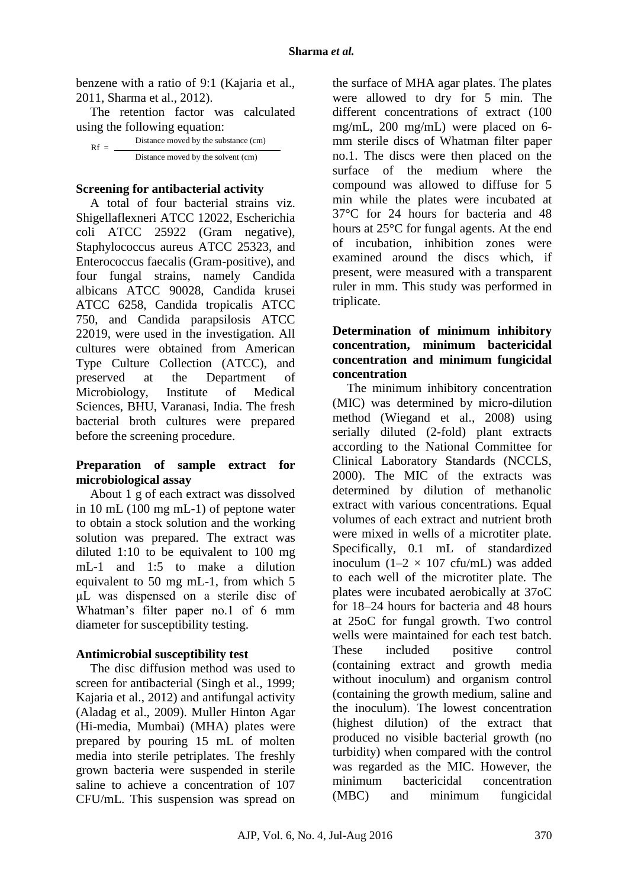benzene with a ratio of 9:1 (Kajaria et al., 2011, Sharma et al., 2012).

The retention factor was calculated using the following equation:

 $Rf =$ Distance moved by the substance (cm) Distance moved by the solvent (cm)

### **Screening for antibacterial activity**

A total of four bacterial strains viz. Shigellaflexneri ATCC 12022, Escherichia coli ATCC 25922 (Gram negative), Staphylococcus aureus ATCC 25323, and Enterococcus faecalis (Gram-positive), and four fungal strains, namely Candida albicans ATCC 90028, Candida krusei ATCC 6258, Candida tropicalis ATCC 750, and Candida parapsilosis ATCC 22019, were used in the investigation. All cultures were obtained from American Type Culture Collection (ATCC), and preserved at the Department of Microbiology, Institute of Medical Sciences, BHU, Varanasi, India. The fresh bacterial broth cultures were prepared before the screening procedure.

#### **Preparation of sample extract for microbiological assay**

About 1 g of each extract was dissolved in 10 mL (100 mg mL-1) of peptone water to obtain a stock solution and the working solution was prepared. The extract was diluted 1:10 to be equivalent to 100 mg mL-1 and 1:5 to make a dilution equivalent to 50 mg mL-1, from which 5 μL was dispensed on a sterile disc of Whatman's filter paper no.1 of 6 mm diameter for susceptibility testing.

# **Antimicrobial susceptibility test**

The disc diffusion method was used to screen for antibacterial (Singh et al., 1999; Kajaria et al., 2012) and antifungal activity (Aladag et al., 2009). Muller Hinton Agar (Hi-media, Mumbai) (MHA) plates were prepared by pouring 15 mL of molten media into sterile petriplates. The freshly grown bacteria were suspended in sterile saline to achieve a concentration of 107 CFU/mL. This suspension was spread on

the surface of MHA agar plates. The plates were allowed to dry for 5 min. The different concentrations of extract (100 mg/mL, 200 mg/mL) were placed on 6 mm sterile discs of Whatman filter paper no.1. The discs were then placed on the surface of the medium where the compound was allowed to diffuse for 5 min while the plates were incubated at 37°C for 24 hours for bacteria and 48 hours at 25°C for fungal agents. At the end of incubation, inhibition zones were examined around the discs which, if present, were measured with a transparent ruler in mm. This study was performed in triplicate.

# **Determination of minimum inhibitory concentration, minimum bactericidal concentration and minimum fungicidal concentration**

The minimum inhibitory concentration (MIC) was determined by micro-dilution method (Wiegand et al., 2008) using serially diluted (2-fold) plant extracts according to the National Committee for Clinical Laboratory Standards (NCCLS, 2000). The MIC of the extracts was determined by dilution of methanolic extract with various concentrations. Equal volumes of each extract and nutrient broth were mixed in wells of a microtiter plate. Specifically, 0.1 mL of standardized inoculum  $(1-2 \times 107 \text{ cftmL})$  was added to each well of the microtiter plate. The plates were incubated aerobically at 37oC for 18–24 hours for bacteria and 48 hours at 25oC for fungal growth. Two control wells were maintained for each test batch. These included positive control (containing extract and growth media without inoculum) and organism control (containing the growth medium, saline and the inoculum). The lowest concentration (highest dilution) of the extract that produced no visible bacterial growth (no turbidity) when compared with the control was regarded as the MIC. However, the minimum bactericidal concentration (MBC) and minimum fungicidal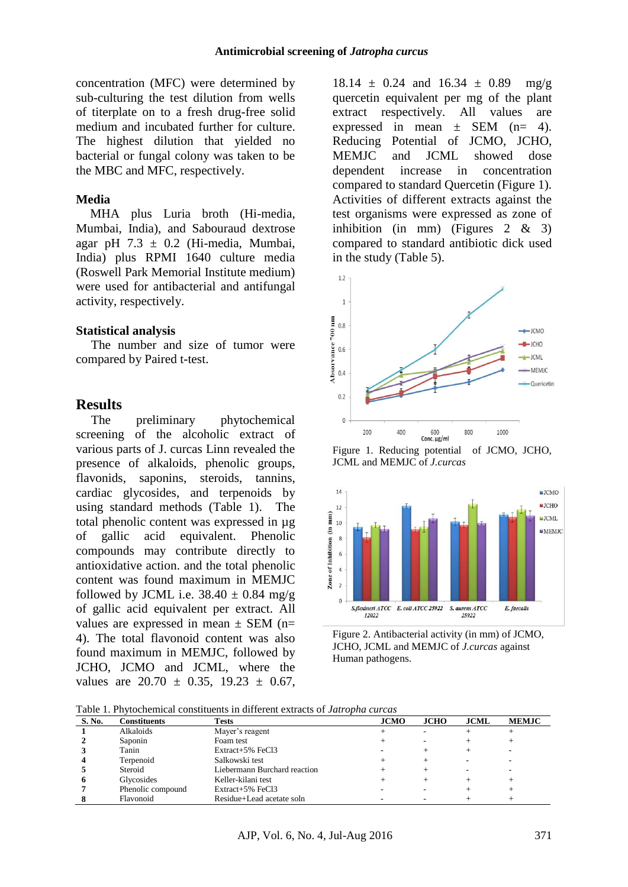concentration (MFC) were determined by sub-culturing the test dilution from wells of titerplate on to a fresh drug-free solid medium and incubated further for culture. The highest dilution that yielded no bacterial or fungal colony was taken to be the MBC and MFC, respectively.

#### **Media**

MHA plus Luria broth (Hi-media, Mumbai, India), and Sabouraud dextrose agar pH  $7.3 \pm 0.2$  (Hi-media, Mumbai, India) plus RPMI 1640 culture media (Roswell Park Memorial Institute medium) were used for antibacterial and antifungal activity, respectively.

#### **Statistical analysis**

The number and size of tumor were compared by Paired t-test.

#### **Results**

The preliminary phytochemical screening of the alcoholic extract of various parts of J. curcas Linn revealed the presence of alkaloids, phenolic groups, flavonids, saponins, steroids, tannins, cardiac glycosides, and terpenoids by using standard methods (Table 1). The total phenolic content was expressed in µg of gallic acid equivalent. Phenolic compounds may contribute directly to antioxidative action. and the total phenolic content was found maximum in MEMJC followed by JCML i.e.  $38.40 \pm 0.84$  mg/g of gallic acid equivalent per extract. All values are expressed in mean ± SEM (n= 4). The total flavonoid content was also found maximum in MEMJC, followed by JCHO, JCMO and JCML, where the values are  $20.70 \pm 0.35$ ,  $19.23 \pm 0.67$ ,  $18.14 \pm 0.24$  and  $16.34 \pm 0.89$  mg/g quercetin equivalent per mg of the plant extract respectively. All values are expressed in mean  $\pm$  SEM (n= 4). Reducing Potential of JCMO, JCHO, MEMJC and JCML showed dose dependent increase in concentration compared to standard Quercetin (Figure 1). Activities of different extracts against the test organisms were expressed as zone of inhibition (in mm) (Figures  $2 \& 3$ ) compared to standard antibiotic dick used in the study (Table 5).



Figure 1. Reducing potential of JCMO, JCHO, JCML and MEMJC of *J.curcas*



Figure 2. Antibacterial activity (in mm) of JCMO, JCHO, JCML and MEMJC of *J.curcas* against Human pathogens.

Table 1. Phytochemical constituents in different extracts of *Jatropha curcas*

| S. No. | Constituents      | <b>Tests</b>                 | <b>JCMO</b> | <b>JCHO</b> | <b>JCML</b> | <b>MEMJC</b> |
|--------|-------------------|------------------------------|-------------|-------------|-------------|--------------|
|        | Alkaloids         | Mayer's reagent              |             |             |             |              |
|        | Saponin           | Foam test                    |             |             |             |              |
|        | Tanin             | Extract+5% FeCl3             |             |             |             |              |
|        | Terpenoid         | Salkowski test               |             |             |             |              |
|        | Steroid           | Liebermann Burchard reaction |             |             |             |              |
|        | Glycosides        | Keller-kilani test           |             |             |             |              |
|        | Phenolic compound | Extract+5% FeCl3             |             |             |             |              |
|        | Flavonoid         | Residue+Lead acetate soln    |             |             |             |              |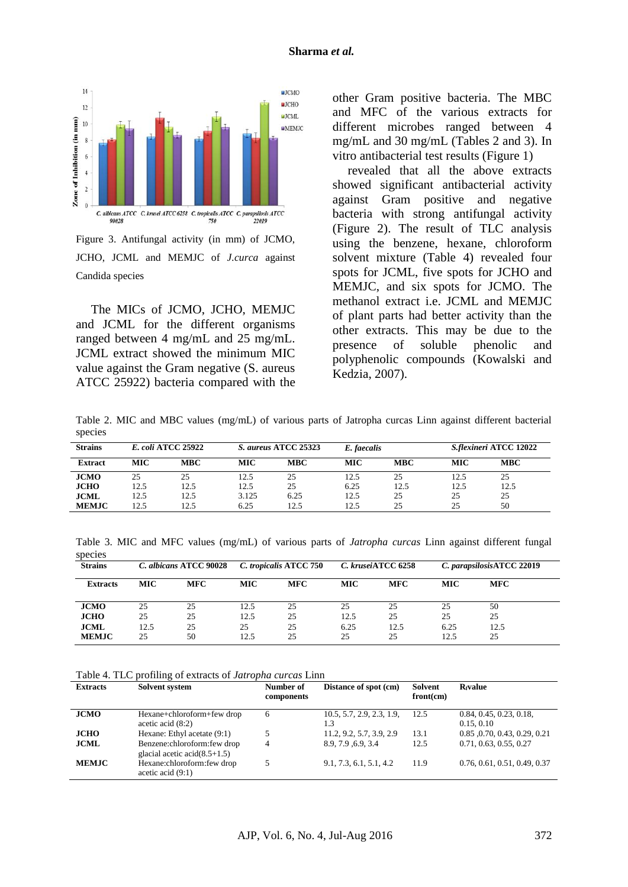

Figure 3. Antifungal activity (in mm) of JCMO, JCHO, JCML and MEMJC of *J.curca* against Candida species

The MICs of JCMO, JCHO, MEMJC and JCML for the different organisms ranged between 4 mg/mL and 25 mg/mL. JCML extract showed the minimum MIC value against the Gram negative (S. aureus ATCC 25922) bacteria compared with the other Gram positive bacteria. The MBC and MFC of the various extracts for different microbes ranged between 4 mg/mL and 30 mg/mL (Tables 2 and 3). In vitro antibacterial test results (Figure 1)

revealed that all the above extracts showed significant antibacterial activity against Gram positive and negative bacteria with strong antifungal activity (Figure 2). The result of TLC analysis using the benzene, hexane, chloroform solvent mixture (Table 4) revealed four spots for JCML, five spots for JCHO and MEMJC, and six spots for JCMO. The methanol extract i.e. JCML and MEMJC of plant parts had better activity than the other extracts. This may be due to the presence of soluble phenolic and polyphenolic compounds (Kowalski and Kedzia, 2007).

Table 2. MIC and MBC values (mg/mL) of various parts of Jatropha curcas Linn against different bacterial species

| <b>Strains</b> |            | <i>E. coli ATCC 25922</i> |       | S. aureus ATCC 25323 | E. faecalis |            |            | S.flexineri ATCC 12022 |
|----------------|------------|---------------------------|-------|----------------------|-------------|------------|------------|------------------------|
| <b>Extract</b> | <b>MIC</b> | MBC                       | MIC   | <b>MBC</b>           | MIC         | <b>MBC</b> | <b>MIC</b> | <b>MBC</b>             |
| <b>JCMO</b>    | 25         | 25                        | 12.5  | 25                   | 12.5        | 25         | 12.5       | 25                     |
| <b>JCHO</b>    | 12.5       | 12.5                      | 12.5  | 25                   | 6.25        | 12.5       | 12.5       | 12.5                   |
| <b>JCML</b>    | 12.5       | 12.5                      | 3.125 | 6.25                 | 12.5        | 25         | 25         | 25                     |
| <b>MEMJC</b>   | 12.5       | 12.5                      | 6.25  | 12.5                 | 12.5        | 25         | 25         | 50                     |

Table 3. MIC and MFC values (mg/mL) of various parts of *Jatropha curcas* Linn against different fungal species

| <b>DPOCIOU</b><br><b>Strains</b> | C. albicans ATCC 90028 |            | C. tropicalis ATCC 750 |     | C. kruseiATCC 6258 |            | C. parapsilosis ATCC 22019 |      |
|----------------------------------|------------------------|------------|------------------------|-----|--------------------|------------|----------------------------|------|
| <b>Extracts</b>                  | MIC                    | <b>MFC</b> | MIC                    | MFC | <b>MIC</b>         | <b>MFC</b> | <b>MIC</b>                 | MFC  |
| <b>JCMO</b>                      | 25                     | 25         | 12.5                   | 25  | 25                 | 25         | 25                         | 50   |
| <b>JCHO</b>                      | 25                     | 25         | 12.5                   | 25  | 12.5               | 25         | 25                         | 25   |
| <b>JCML</b>                      | 12.5                   | 25         | 25                     | 25  | 6.25               | 12.5       | 6.25                       | 12.5 |
| <b>MEMJC</b>                     | 25                     | 50         | 12.5                   | 25  | 25                 | 25         | 12.5                       | 25   |

Table 4. TLC profiling of extracts of *Jatropha curcas* Linn

| <b>Extracts</b> | <b>Solvent system</b>                                                | Number of<br>components | Distance of spot (cm)            | Solvent<br>front(cm) | <b>R</b> <sub>rvalue</sub>            |
|-----------------|----------------------------------------------------------------------|-------------------------|----------------------------------|----------------------|---------------------------------------|
| <b>JCMO</b>     | Hexane+chloroform+few drop<br>acetic acid $(8:2)$                    | 6                       | 10.5, 5.7, 2.9, 2.3, 1.9,<br>1.3 | 12.5                 | 0.84, 0.45, 0.23, 0.18,<br>0.15, 0.10 |
| <b>JCHO</b>     | Hexane: Ethyl acetate (9:1)                                          | 5                       | 11.2, 9.2, 5.7, 3.9, 2.9         | 13.1                 | 0.85, 0.70, 0.43, 0.29, 0.21          |
| <b>JCML</b>     | Benzene:chloroform:few drop<br>glacial acetic $\text{acid}(8.5+1.5)$ | 4                       | 8.9, 7.9, 6.9, 3.4               | 12.5                 | 0.71, 0.63, 0.55, 0.27                |
| <b>MEMJC</b>    | Hexane:chloroform:few drop<br>acetic acid $(9:1)$                    |                         | 9.1, 7.3, 6.1, 5.1, 4.2          | 11.9                 | 0.76, 0.61, 0.51, 0.49, 0.37          |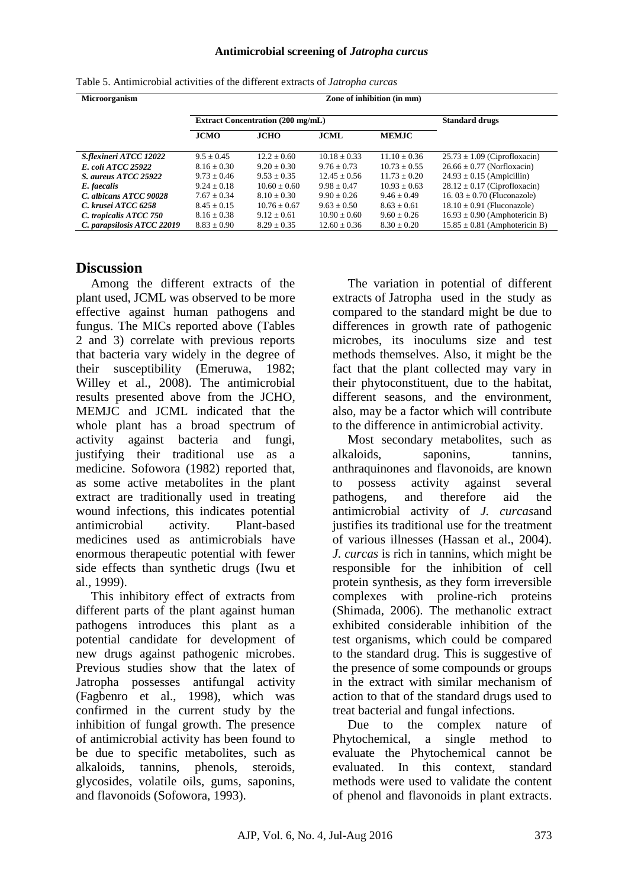#### **Antimicrobial screening of** *Jatropha curcus*

| Microorganism              | Zone of inhibition (in mm) |                                          |                       |                  |                                   |  |  |
|----------------------------|----------------------------|------------------------------------------|-----------------------|------------------|-----------------------------------|--|--|
|                            |                            | <b>Extract Concentration (200 mg/mL)</b> | <b>Standard drugs</b> |                  |                                   |  |  |
|                            | <b>JCMO</b>                | <b>JCHO</b>                              | <b>JCML</b>           | <b>MEMJC</b>     |                                   |  |  |
| S.flexineri ATCC 12022     | $9.5 + 0.45$               | $12.2 + 0.60$                            | $10.18 + 0.33$        | $11.10 \pm 0.36$ | $25.73 \pm 1.09$ (Ciprofloxacin)  |  |  |
| E. coli ATCC 25922         | $8.16 + 0.30$              | $9.20 + 0.30$                            | $9.76 + 0.73$         | $10.73 + 0.55$   | $26.66 \pm 0.77$ (Norfloxacin)    |  |  |
| S. aureus ATCC 25922       | $9.73 + 0.46$              | $9.53 + 0.35$                            | $12.45 + 0.56$        | $11.73 + 0.20$   | $24.93 \pm 0.15$ (Ampicillin)     |  |  |
| E. faecalis                | $9.24 + 0.18$              | $10.60 + 0.60$                           | $9.98 + 0.47$         | $10.93 + 0.63$   | $28.12 \pm 0.17$ (Ciprofloxacin)  |  |  |
| C. albicans ATCC 90028     | $7.67 + 0.34$              | $8.10 + 0.30$                            | $9.90 + 0.26$         | $9.46 + 0.49$    | 16.03 $\pm$ 0.70 (Fluconazole)    |  |  |
| C. krusei ATCC 6258        | $8.45 \pm 0.15$            | $10.76 + 0.67$                           | $9.63 + 0.50$         | $8.63 \pm 0.61$  | $18.10 \pm 0.91$ (Fluconazole)    |  |  |
| C. tropicalis ATCC 750     | $8.16 + 0.38$              | $9.12 \pm 0.61$                          | $10.90 + 0.60$        | $9.60 + 0.26$    | $16.93 \pm 0.90$ (Amphotericin B) |  |  |
| C. parapsilosis ATCC 22019 | $8.83 \pm 0.90$            | $8.29 \pm 0.35$                          | $12.60 \pm 0.36$      | $8.30 \pm 0.20$  | $15.85 \pm 0.81$ (Amphotericin B) |  |  |

Table 5. Antimicrobial activities of the different extracts of *Jatropha curcas*

# **Discussion**

Among the different extracts of the plant used, JCML was observed to be more effective against human pathogens and fungus. The MICs reported above (Tables 2 and 3) correlate with previous reports that bacteria vary widely in the degree of their susceptibility (Emeruwa, 1982; Willey et al., 2008). The antimicrobial results presented above from the JCHO, MEMJC and JCML indicated that the whole plant has a broad spectrum of activity against bacteria and fungi, justifying their traditional use as a medicine. Sofowora (1982) reported that, as some active metabolites in the plant extract are traditionally used in treating wound infections, this indicates potential antimicrobial activity. Plant-based medicines used as antimicrobials have enormous therapeutic potential with fewer side effects than synthetic drugs (Iwu et al., 1999).

This inhibitory effect of extracts from different parts of the plant against human pathogens introduces this plant as a potential candidate for development of new drugs against pathogenic microbes. Previous studies show that the latex of Jatropha possesses antifungal activity (Fagbenro et al., 1998), which was confirmed in the current study by the inhibition of fungal growth. The presence of antimicrobial activity has been found to be due to specific metabolites, such as alkaloids, tannins, phenols, steroids, glycosides, volatile oils, gums, saponins, and flavonoids (Sofowora, 1993).

The variation in potential of different extracts of Jatropha used in the study as compared to the standard might be due to differences in growth rate of pathogenic microbes, its inoculums size and test methods themselves. Also, it might be the fact that the plant collected may vary in their phytoconstituent, due to the habitat, different seasons, and the environment, also, may be a factor which will contribute to the difference in antimicrobial activity.

Most secondary metabolites, such as alkaloids, saponins, tannins, anthraquinones and flavonoids, are known to possess activity against several pathogens, and therefore aid the antimicrobial activity of *J. curcas*and justifies its traditional use for the treatment of various illnesses (Hassan et al., 2004). *J. curcas* is rich in tannins, which might be responsible for the inhibition of cell protein synthesis, as they form irreversible complexes with proline-rich proteins (Shimada, 2006). The methanolic extract exhibited considerable inhibition of the test organisms, which could be compared to the standard drug. This is suggestive of the presence of some compounds or groups in the extract with similar mechanism of action to that of the standard drugs used to treat bacterial and fungal infections.

Due to the complex nature of Phytochemical, a single method to evaluate the Phytochemical cannot be evaluated. In this context, standard methods were used to validate the content of phenol and flavonoids in plant extracts.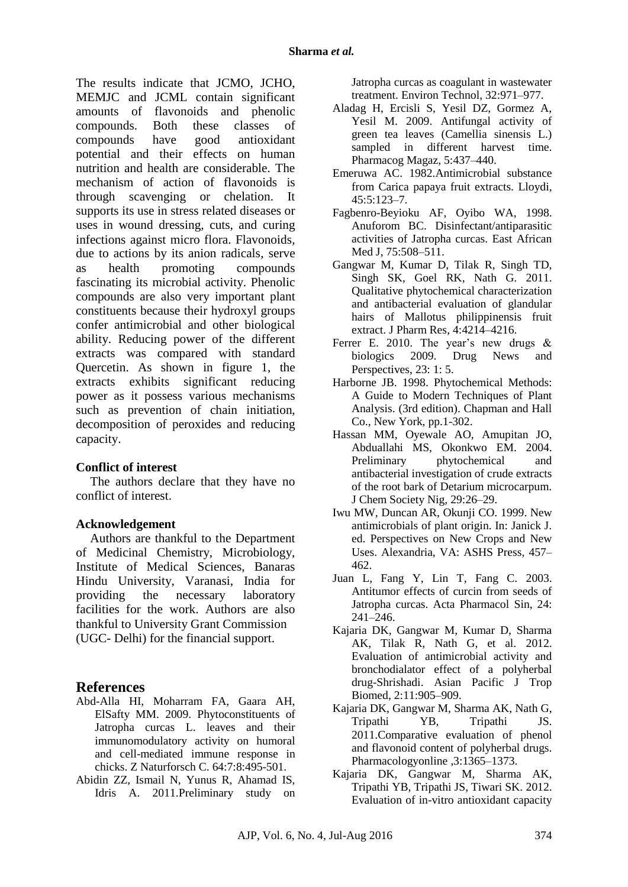The results indicate that JCMO, JCHO, MEMJC and JCML contain significant amounts of flavonoids and phenolic compounds. Both these classes of compounds have good antioxidant potential and their effects on human nutrition and health are considerable. The mechanism of action of flavonoids is through scavenging or chelation. It supports its use in stress related diseases or uses in wound dressing, cuts, and curing infections against micro flora. Flavonoids, due to actions by its anion radicals, serve as health promoting compounds fascinating its microbial activity. Phenolic compounds are also very important plant constituents because their hydroxyl groups confer antimicrobial and other biological ability. Reducing power of the different extracts was compared with standard Quercetin. As shown in figure 1, the extracts exhibits significant reducing power as it possess various mechanisms such as prevention of chain initiation, decomposition of peroxides and reducing capacity.

#### **Conflict of interest**

The authors declare that they have no conflict of interest.

#### **Acknowledgement**

Authors are thankful to the Department of Medicinal Chemistry, Microbiology, Institute of Medical Sciences, Banaras Hindu University, Varanasi, India for providing the necessary laboratory facilities for the work. Authors are also thankful to University Grant Commission (UGC- Delhi) for the financial support.

#### **References**

- Abd-Alla HI, Moharram FA, Gaara AH, ElSafty MM. 2009. Phytoconstituents of Jatropha curcas L. leaves and their immunomodulatory activity on humoral and cell-mediated immune response in chicks. Z Naturforsch C. 64:7:8:495-501.
- Abidin ZZ, Ismail N, Yunus R, Ahamad IS, Idris A. 2011.Preliminary study on

Jatropha curcas as coagulant in wastewater treatment. Environ Technol, 32:971–977.

- Aladag H, Ercisli S, Yesil DZ, Gormez A, Yesil M. 2009. Antifungal activity of green tea leaves (Camellia sinensis L.) sampled in different harvest time. Pharmacog Magaz, 5:437–440.
- Emeruwa AC. 1982.Antimicrobial substance from Carica papaya fruit extracts. Lloydi, 45:5:123–7.
- Fagbenro-Beyioku AF, Oyibo WA, 1998. Anuforom BC. Disinfectant/antiparasitic activities of Jatropha curcas. East African Med J, 75:508-511.
- Gangwar M, Kumar D, Tilak R, Singh TD, Singh SK, Goel RK, Nath G. 2011. Qualitative phytochemical characterization and antibacterial evaluation of glandular hairs of Mallotus philippinensis fruit extract. J Pharm Res, 4:4214–4216.
- Ferrer E. 2010. The year's new drugs & biologics 2009. Drug News and biologics 2009. Drug News and Perspectives, 23: 1: 5.
- Harborne JB. 1998. Phytochemical Methods: A Guide to Modern Techniques of Plant Analysis. (3rd edition). Chapman and Hall Co., New York, pp.1-302.
- Hassan MM, Oyewale AO, Amupitan JO, Abduallahi MS, Okonkwo EM. 2004. Preliminary phytochemical and antibacterial investigation of crude extracts of the root bark of Detarium microcarpum. J Chem Society Nig, 29:26–29.
- Iwu MW, Duncan AR, Okunji CO. 1999. New antimicrobials of plant origin. In: Janick J. ed. Perspectives on New Crops and New Uses. Alexandria, VA: ASHS Press, 457– 462.
- Juan L, Fang Y, Lin T, Fang C. 2003. Antitumor effects of curcin from seeds of Jatropha curcas. Acta Pharmacol Sin, 24: 241–246.
- Kajaria DK, Gangwar M, Kumar D, Sharma AK, Tilak R, Nath G, et al. 2012. Evaluation of antimicrobial activity and bronchodialator effect of a polyherbal drug-Shrishadi. Asian Pacific J Trop Biomed, 2:11:905–909.
- Kajaria DK, Gangwar M, Sharma AK, Nath G, Tripathi YB, Tripathi JS. 2011.Comparative evaluation of phenol and flavonoid content of polyherbal drugs. Pharmacologyonline ,3:1365–1373.
- Kajaria DK, Gangwar M, Sharma AK, Tripathi YB, Tripathi JS, Tiwari SK. 2012. Evaluation of in-vitro antioxidant capacity